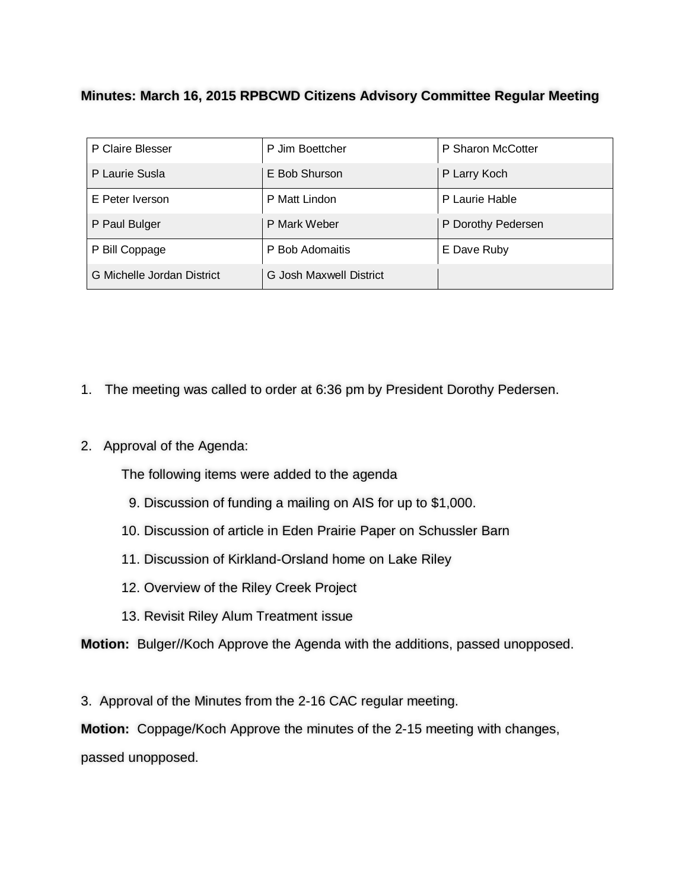## **Minutes: March 16, 2015 RPBCWD Citizens Advisory Committee Regular Meeting**

| P Claire Blesser           | P Jim Boettcher         | P Sharon McCotter  |
|----------------------------|-------------------------|--------------------|
| P Laurie Susla             | E Bob Shurson           | P Larry Koch       |
| E Peter Iverson            | P Matt Lindon           | P Laurie Hable     |
| P Paul Bulger              | P Mark Weber            | P Dorothy Pedersen |
| P Bill Coppage             | P Bob Adomaitis         | E Dave Ruby        |
| G Michelle Jordan District | G Josh Maxwell District |                    |

- 1. The meeting was called to order at 6:36 pm by President Dorothy Pedersen.
- 2. Approval of the Agenda:

The following items were added to the agenda

- 9. Discussion of funding a mailing on AIS for up to \$1,000.
- 10. Discussion of article in Eden Prairie Paper on Schussler Barn
- 11. Discussion of Kirkland-Orsland home on Lake Riley
- 12. Overview of the Riley Creek Project
- 13. Revisit Riley Alum Treatment issue

**Motion:** Bulger//Koch Approve the Agenda with the additions, passed unopposed.

3. Approval of the Minutes from the 2-16 CAC regular meeting.

**Motion:** Coppage/Koch Approve the minutes of the 2-15 meeting with changes,

passed unopposed.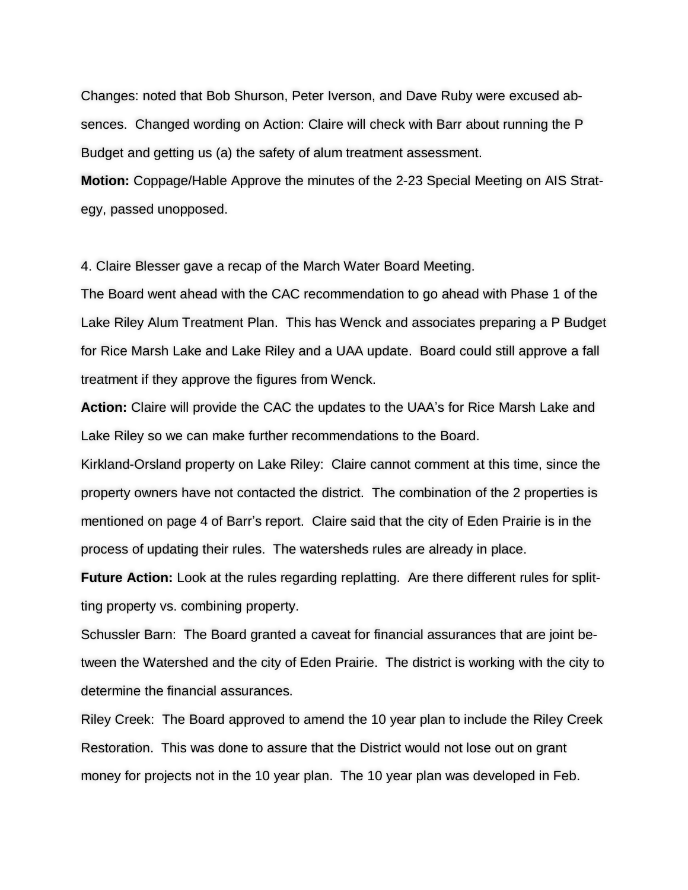Changes: noted that Bob Shurson, Peter Iverson, and Dave Ruby were excused absences. Changed wording on Action: Claire will check with Barr about running the P Budget and getting us (a) the safety of alum treatment assessment.

**Motion:** Coppage/Hable Approve the minutes of the 2-23 Special Meeting on AIS Strategy, passed unopposed.

4. Claire Blesser gave a recap of the March Water Board Meeting.

The Board went ahead with the CAC recommendation to go ahead with Phase 1 of the Lake Riley Alum Treatment Plan. This has Wenck and associates preparing a P Budget for Rice Marsh Lake and Lake Riley and a UAA update. Board could still approve a fall treatment if they approve the figures from Wenck.

**Action:** Claire will provide the CAC the updates to the UAA's for Rice Marsh Lake and Lake Riley so we can make further recommendations to the Board.

Kirkland-Orsland property on Lake Riley: Claire cannot comment at this time, since the property owners have not contacted the district. The combination of the 2 properties is mentioned on page 4 of Barr's report. Claire said that the city of Eden Prairie is in the process of updating their rules. The watersheds rules are already in place.

**Future Action:** Look at the rules regarding replatting. Are there different rules for splitting property vs. combining property.

Schussler Barn: The Board granted a caveat for financial assurances that are joint between the Watershed and the city of Eden Prairie. The district is working with the city to determine the financial assurances.

Riley Creek: The Board approved to amend the 10 year plan to include the Riley Creek Restoration. This was done to assure that the District would not lose out on grant money for projects not in the 10 year plan. The 10 year plan was developed in Feb.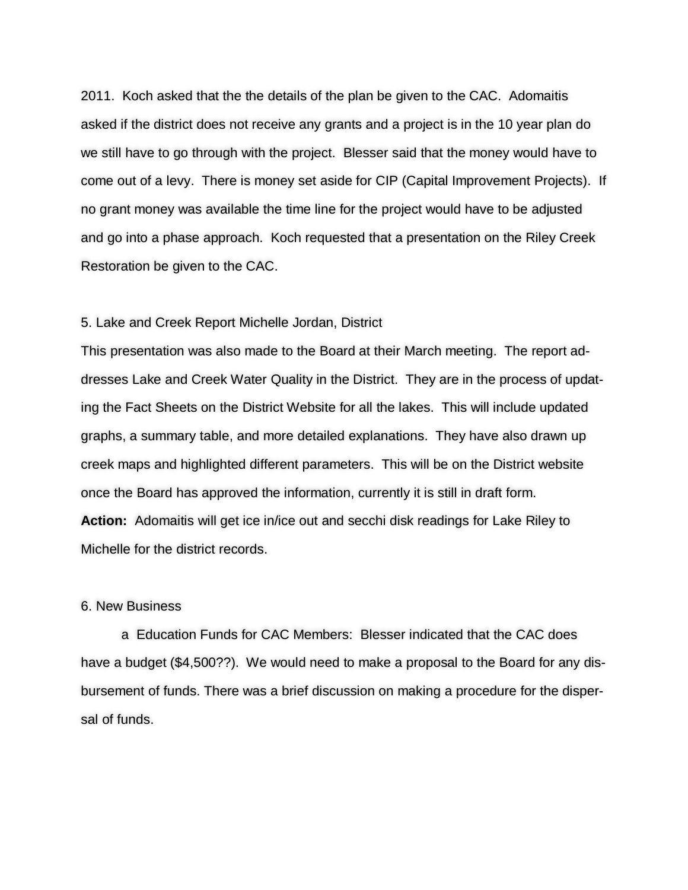2011. Koch asked that the the details of the plan be given to the CAC. Adomaitis asked if the district does not receive any grants and a project is in the 10 year plan do we still have to go through with the project. Blesser said that the money would have to come out of a levy. There is money set aside for CIP (Capital Improvement Projects). If no grant money was available the time line for the project would have to be adjusted and go into a phase approach. Koch requested that a presentation on the Riley Creek Restoration be given to the CAC.

## 5. Lake and Creek Report Michelle Jordan, District

This presentation was also made to the Board at their March meeting. The report addresses Lake and Creek Water Quality in the District. They are in the process of updating the Fact Sheets on the District Website for all the lakes. This will include updated graphs, a summary table, and more detailed explanations. They have also drawn up creek maps and highlighted different parameters. This will be on the District website once the Board has approved the information, currently it is still in draft form. **Action:** Adomaitis will get ice in/ice out and secchi disk readings for Lake Riley to Michelle for the district records.

## 6. New Business

a Education Funds for CAC Members: Blesser indicated that the CAC does have a budget (\$4,500??). We would need to make a proposal to the Board for any disbursement of funds. There was a brief discussion on making a procedure for the dispersal of funds.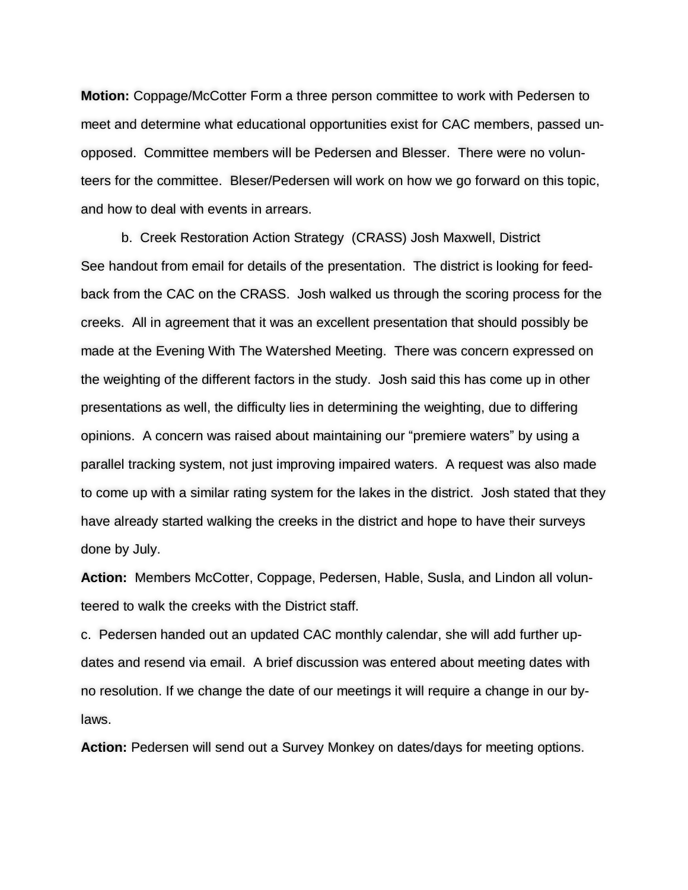**Motion:** Coppage/McCotter Form a three person committee to work with Pedersen to meet and determine what educational opportunities exist for CAC members, passed unopposed. Committee members will be Pedersen and Blesser. There were no volunteers for the committee. Bleser/Pedersen will work on how we go forward on this topic, and how to deal with events in arrears.

b. Creek Restoration Action Strategy (CRASS) Josh Maxwell, District See handout from email for details of the presentation. The district is looking for feedback from the CAC on the CRASS. Josh walked us through the scoring process for the creeks. All in agreement that it was an excellent presentation that should possibly be made at the Evening With The Watershed Meeting. There was concern expressed on the weighting of the different factors in the study. Josh said this has come up in other presentations as well, the difficulty lies in determining the weighting, due to differing opinions. A concern was raised about maintaining our "premiere waters" by using a parallel tracking system, not just improving impaired waters. A request was also made to come up with a similar rating system for the lakes in the district. Josh stated that they have already started walking the creeks in the district and hope to have their surveys done by July.

**Action:** Members McCotter, Coppage, Pedersen, Hable, Susla, and Lindon all volunteered to walk the creeks with the District staff.

c. Pedersen handed out an updated CAC monthly calendar, she will add further updates and resend via email. A brief discussion was entered about meeting dates with no resolution. If we change the date of our meetings it will require a change in our bylaws.

**Action:** Pedersen will send out a Survey Monkey on dates/days for meeting options.